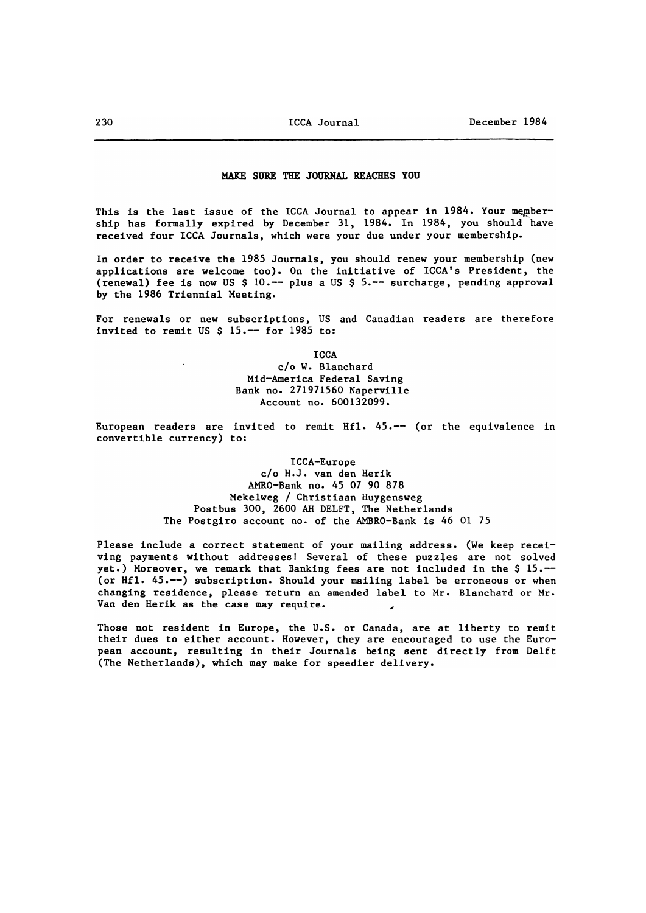## MAKE SURE THE JOURNAL REACHES YOU

This is the last issue of the ICCA Journal to appear in 1984. Your membership has formally expired by December 31, 1984. In 1984, you should have received four ICCA Journals, which were your due under your membership.

In order to receive the 1985 Journals, you should renew your membership (new applications are welcome too). On the initiative of ICCA's President, the (renewal) fee is now US \$ 10.-- plus a US \$ 5.-- surcharge, pending approval by the 1986 Triennial Meeting.

For renewals or new subscriptions, US and Canadian readers are therefore invited to remit US \$ 15.-- for 1985 to:

> ICCA c/o W. Blanchard Mid-America Federal Saving Bank no. 271971560 Naperville Account no. 600132099.

European readers are invited to remit Hfl. 45.-- (or the equivalence in convertible currency) to:

## ICCA-Europe c/o H.J. van den Herik AMRO-Bank no. 45 07 90 878 Mekelweg / Christiaan Huygensweg Postbus 300, 2600 AH DELFT, The Netherlands The Postgiro account no. of the AMBRO-Bank is 46 01 75

Please include a correct statement of your mailing address. (We keep receiving payments without addresses! Several of these puzzles are not solved yet.) Moreover, we remark that Banking fees are not included in the \$ 15.--(or Hfl. 45.--) subscription. Should your mailing label be erroneous or when changing residence, please return an amended label to Mr. Blanchard or Mr. Van den Herik as the case may require.

Those not resident in Europe, the U.S. or Canada, are at liberty to remit their dues to either account. However, they are encouraged to use the European account, resulting in their Journals being sent directly from Delft (The Netherlands), which may make for speedier delivery.